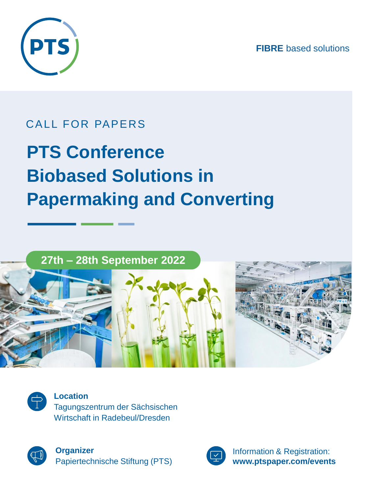**FIBRE** based solutions



## CALL FOR PAPERS

# **PTS Conference Biobased Solutions in Papermaking and Converting**

### **27th – 28th September 2022**



**Location** Tagungszentrum der Sächsischen Wirtschaft in Radebeul/Dresden



**Organizer** Papiertechnische Stiftung (PTS)



Information & Registration: **www.ptspaper.com/events**